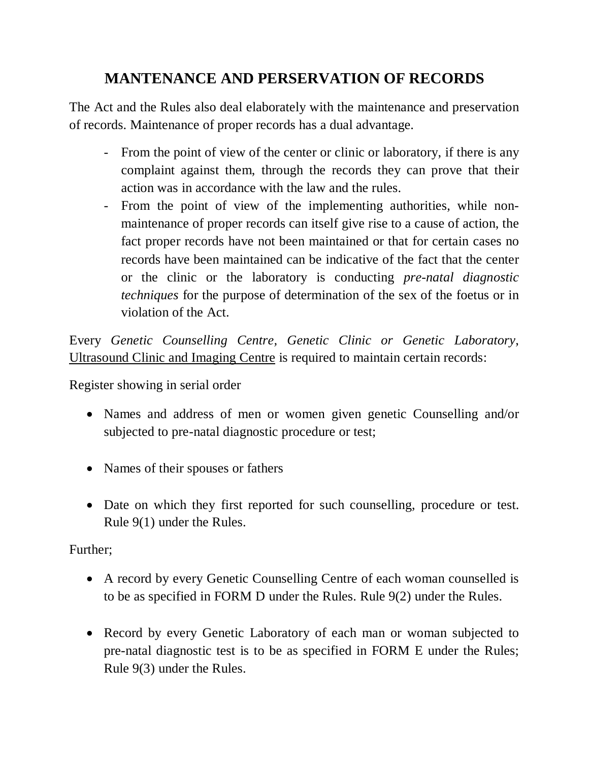## **MANTENANCE AND PERSERVATION OF RECORDS**

The Act and the Rules also deal elaborately with the maintenance and preservation of records. Maintenance of proper records has a dual advantage.

- From the point of view of the center or clinic or laboratory, if there is any complaint against them, through the records they can prove that their action was in accordance with the law and the rules.
- From the point of view of the implementing authorities, while nonmaintenance of proper records can itself give rise to a cause of action, the fact proper records have not been maintained or that for certain cases no records have been maintained can be indicative of the fact that the center or the clinic or the laboratory is conducting *pre-natal diagnostic techniques* for the purpose of determination of the sex of the foetus or in violation of the Act.

Every *Genetic Counselling Centre, Genetic Clinic or Genetic Laboratory*, Ultrasound Clinic and Imaging Centre is required to maintain certain records:

Register showing in serial order

- Names and address of men or women given genetic Counselling and/or subjected to pre-natal diagnostic procedure or test;
- Names of their spouses or fathers
- Date on which they first reported for such counselling, procedure or test. Rule 9(1) under the Rules.

Further;

- A record by every Genetic Counselling Centre of each woman counselled is to be as specified in FORM D under the Rules. Rule 9(2) under the Rules.
- Record by every Genetic Laboratory of each man or woman subjected to pre-natal diagnostic test is to be as specified in FORM E under the Rules; Rule 9(3) under the Rules.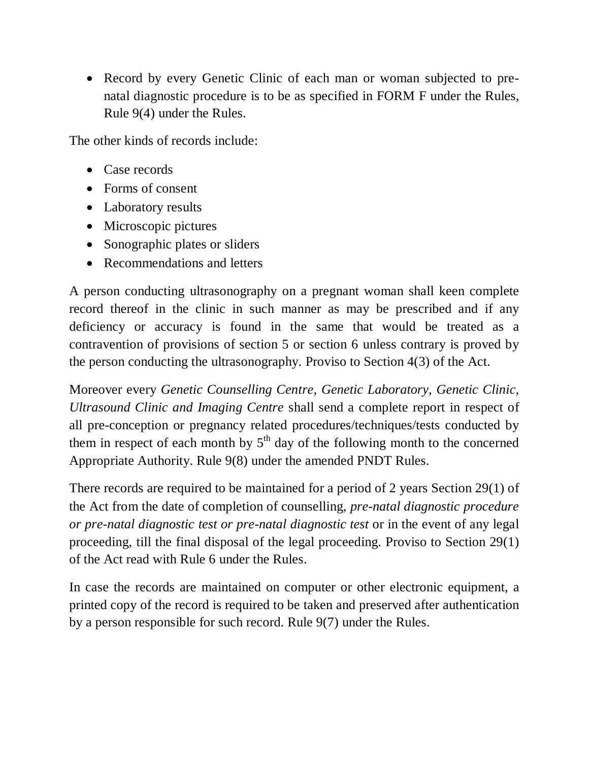• Record by every Genetic Clinic of each man or woman subjected to prenatal diagnostic procedure is to be as specified in FORM F under the Rules, Rule 9(4) under the Rules.

The other kinds of records include:

- Case records
- Forms of consent
- Laboratory results
- Microscopic pictures
- Sonographic plates or sliders
- Recommendations and letters

A person conducting ultrasonography on a pregnant woman shall keen complete record thereof in the clinic in such manner as may be prescribed and if any deficiency or accuracy is found in the same that would be treated as a contravention of provisions of section 5 or section 6 unless contrary is proved by the person conducting the ultrasonography. Proviso to Section 4(3) of the Act.

Moreover every *Genetic Counselling Centre, Genetic Laboratory, Genetic Clinic, Ultrasound Clinic and Imaging Centre* shall send a complete report in respect of all pre-conception or pregnancy related procedures/techniques/tests conducted by them in respect of each month by  $5<sup>th</sup>$  day of the following month to the concerned Appropriate Authority. Rule 9(8) under the amended PNDT Rules.

There records are required to be maintained for a period of 2 years Section 29(1) of the Act from the date of completion of counselling, *pre-natal diagnostic procedure or pre-natal diagnostic test or pre-natal diagnostic test* or in the event of any legal proceeding, till the final disposal of the legal proceeding. Proviso to Section 29(1) of the Act read with Rule 6 under the Rules.

In case the records are maintained on computer or other electronic equipment, a printed copy of the record is required to be taken and preserved after authentication by a person responsible for such record. Rule 9(7) under the Rules.